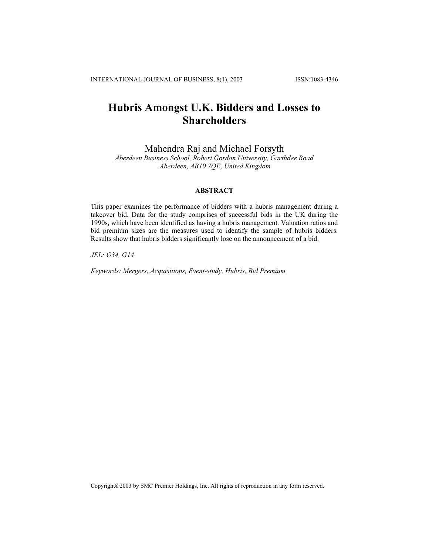# **Hubris Amongst U.K. Bidders and Losses to Shareholders**

Mahendra Raj and Michael Forsyth

*Aberdeen Business School, Robert Gordon University, Garthdee Road Aberdeen, AB10 7QE, United Kingdom*

# **ABSTRACT**

This paper examines the performance of bidders with a hubris management during a takeover bid. Data for the study comprises of successful bids in the UK during the 1990s, which have been identified as having a hubris management. Valuation ratios and bid premium sizes are the measures used to identify the sample of hubris bidders. Results show that hubris bidders significantly lose on the announcement of a bid.

*JEL: G34, G14* 

*Keywords: Mergers, Acquisitions, Event-study, Hubris, Bid Premium* 

Copyright©2003 by SMC Premier Holdings, Inc. All rights of reproduction in any form reserved.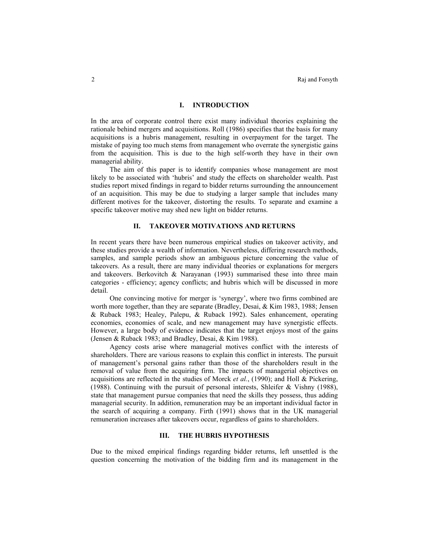## **I. INTRODUCTION**

In the area of corporate control there exist many individual theories explaining the rationale behind mergers and acquisitions. Roll (1986) specifies that the basis for many acquisitions is a hubris management, resulting in overpayment for the target. The mistake of paying too much stems from management who overrate the synergistic gains from the acquisition. This is due to the high self-worth they have in their own managerial ability.

The aim of this paper is to identify companies whose management are most likely to be associated with 'hubris' and study the effects on shareholder wealth. Past studies report mixed findings in regard to bidder returns surrounding the announcement of an acquisition. This may be due to studying a larger sample that includes many different motives for the takeover, distorting the results. To separate and examine a specific takeover motive may shed new light on bidder returns.

## **II. TAKEOVER MOTIVATIONS AND RETURNS**

In recent years there have been numerous empirical studies on takeover activity, and these studies provide a wealth of information. Nevertheless, differing research methods, samples, and sample periods show an ambiguous picture concerning the value of takeovers. As a result, there are many individual theories or explanations for mergers and takeovers. Berkovitch  $\&$  Narayanan (1993) summarised these into three main categories - efficiency; agency conflicts; and hubris which will be discussed in more detail.

One convincing motive for merger is 'synergy', where two firms combined are worth more together, than they are separate (Bradley, Desai, & Kim 1983, 1988; Jensen & Ruback 1983; Healey, Palepu, & Ruback 1992). Sales enhancement, operating economies, economies of scale, and new management may have synergistic effects. However, a large body of evidence indicates that the target enjoys most of the gains (Jensen & Ruback 1983; and Bradley, Desai, & Kim 1988).

Agency costs arise where managerial motives conflict with the interests of shareholders. There are various reasons to explain this conflict in interests. The pursuit of management's personal gains rather than those of the shareholders result in the removal of value from the acquiring firm. The impacts of managerial objectives on acquisitions are reflected in the studies of Morck *et al.*, (1990); and Holl & Pickering, (1988). Continuing with the pursuit of personal interests, Shleifer & Vishny (1988), state that management pursue companies that need the skills they possess, thus adding managerial security. In addition, remuneration may be an important individual factor in the search of acquiring a company. Firth (1991) shows that in the UK managerial remuneration increases after takeovers occur, regardless of gains to shareholders.

# **III. THE HUBRIS HYPOTHESIS**

Due to the mixed empirical findings regarding bidder returns, left unsettled is the question concerning the motivation of the bidding firm and its management in the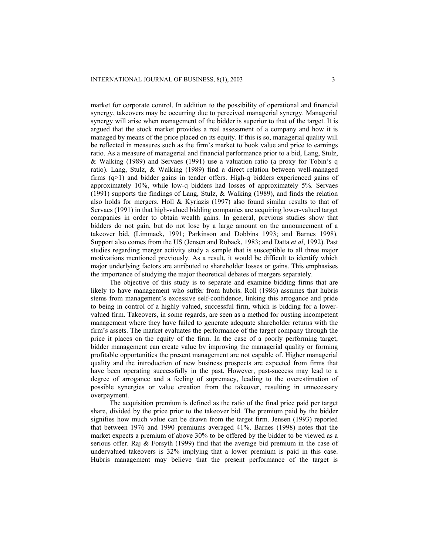market for corporate control. In addition to the possibility of operational and financial synergy, takeovers may be occurring due to perceived managerial synergy. Managerial synergy will arise when management of the bidder is superior to that of the target. It is argued that the stock market provides a real assessment of a company and how it is managed by means of the price placed on its equity. If this is so, managerial quality will be reflected in measures such as the firm's market to book value and price to earnings ratio. As a measure of managerial and financial performance prior to a bid, Lang, Stulz, & Walking (1989) and Servaes (1991) use a valuation ratio (a proxy for Tobin's q ratio). Lang, Stulz, & Walking (1989) find a direct relation between well-managed firms (q>1) and bidder gains in tender offers. High-q bidders experienced gains of approximately 10%, while low-q bidders had losses of approximately 5%. Servaes (1991) supports the findings of Lang, Stulz, & Walking (1989), and finds the relation also holds for mergers. Holl  $\&$  Kyriazis (1997) also found similar results to that of Servaes (1991) in that high-valued bidding companies are acquiring lower-valued target companies in order to obtain wealth gains. In general, previous studies show that bidders do not gain, but do not lose by a large amount on the announcement of a takeover bid, (Limmack, 1991; Parkinson and Dobbins 1993; and Barnes 1998). Support also comes from the US (Jensen and Ruback, 1983; and Datta *et al*, 1992). Past studies regarding merger activity study a sample that is susceptible to all three major motivations mentioned previously. As a result, it would be difficult to identify which major underlying factors are attributed to shareholder losses or gains. This emphasises the importance of studying the major theoretical debates of mergers separately.

The objective of this study is to separate and examine bidding firms that are likely to have management who suffer from hubris. Roll (1986) assumes that hubris stems from management's excessive self-confidence, linking this arrogance and pride to being in control of a highly valued, successful firm, which is bidding for a lowervalued firm. Takeovers, in some regards, are seen as a method for ousting incompetent management where they have failed to generate adequate shareholder returns with the firm's assets. The market evaluates the performance of the target company through the price it places on the equity of the firm. In the case of a poorly performing target, bidder management can create value by improving the managerial quality or forming profitable opportunities the present management are not capable of. Higher managerial quality and the introduction of new business prospects are expected from firms that have been operating successfully in the past. However, past-success may lead to a degree of arrogance and a feeling of supremacy, leading to the overestimation of possible synergies or value creation from the takeover, resulting in unnecessary overpayment.

The acquisition premium is defined as the ratio of the final price paid per target share, divided by the price prior to the takeover bid. The premium paid by the bidder signifies how much value can be drawn from the target firm. Jensen (1993) reported that between 1976 and 1990 premiums averaged 41%. Barnes (1998) notes that the market expects a premium of above 30% to be offered by the bidder to be viewed as a serious offer. Raj & Forsyth (1999) find that the average bid premium in the case of undervalued takeovers is 32% implying that a lower premium is paid in this case. Hubris management may believe that the present performance of the target is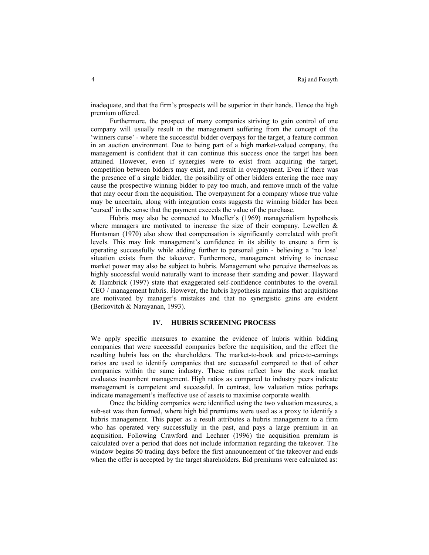inadequate, and that the firm's prospects will be superior in their hands. Hence the high premium offered.

Furthermore, the prospect of many companies striving to gain control of one company will usually result in the management suffering from the concept of the 'winners curse' - where the successful bidder overpays for the target, a feature common in an auction environment. Due to being part of a high market-valued company, the management is confident that it can continue this success once the target has been attained. However, even if synergies were to exist from acquiring the target, competition between bidders may exist, and result in overpayment. Even if there was the presence of a single bidder, the possibility of other bidders entering the race may cause the prospective winning bidder to pay too much, and remove much of the value that may occur from the acquisition. The overpayment for a company whose true value may be uncertain, along with integration costs suggests the winning bidder has been 'cursed' in the sense that the payment exceeds the value of the purchase.

Hubris may also be connected to Mueller's (1969) managerialism hypothesis where managers are motivated to increase the size of their company. Lewellen  $\&$ Huntsman (1970) also show that compensation is significantly correlated with profit levels. This may link management's confidence in its ability to ensure a firm is operating successfully while adding further to personal gain - believing a 'no lose' situation exists from the takeover. Furthermore, management striving to increase market power may also be subject to hubris. Management who perceive themselves as highly successful would naturally want to increase their standing and power. Hayward & Hambrick (1997) state that exaggerated self-confidence contributes to the overall CEO / management hubris. However, the hubris hypothesis maintains that acquisitions are motivated by manager's mistakes and that no synergistic gains are evident (Berkovitch & Narayanan, 1993).

## **IV. HUBRIS SCREENING PROCESS**

We apply specific measures to examine the evidence of hubris within bidding companies that were successful companies before the acquisition, and the effect the resulting hubris has on the shareholders. The market-to-book and price-to-earnings ratios are used to identify companies that are successful compared to that of other companies within the same industry. These ratios reflect how the stock market evaluates incumbent management. High ratios as compared to industry peers indicate management is competent and successful. In contrast, low valuation ratios perhaps indicate management's ineffective use of assets to maximise corporate wealth.

Once the bidding companies were identified using the two valuation measures, a sub-set was then formed, where high bid premiums were used as a proxy to identify a hubris management. This paper as a result attributes a hubris management to a firm who has operated very successfully in the past, and pays a large premium in an acquisition. Following Crawford and Lechner (1996) the acquisition premium is calculated over a period that does not include information regarding the takeover. The window begins 50 trading days before the first announcement of the takeover and ends when the offer is accepted by the target shareholders. Bid premiums were calculated as: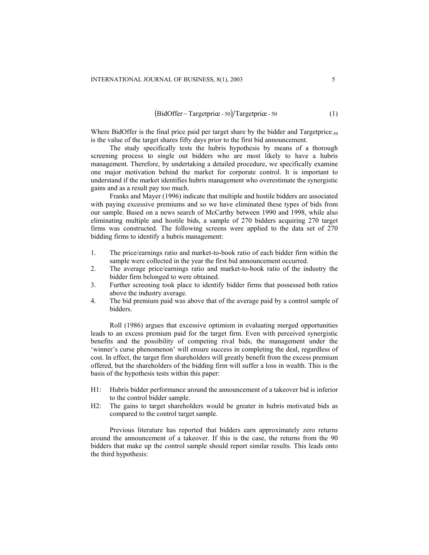$$
(BidOffer-Targetprice - 50)/Targetprice - 50
$$
 (1)

Where BidOffer is the final price paid per target share by the bidder and Targetprice. $_{50}$ is the value of the target shares fifty days prior to the first bid announcement.

The study specifically tests the hubris hypothesis by means of a thorough screening process to single out bidders who are most likely to have a hubris management. Therefore, by undertaking a detailed procedure, we specifically examine one major motivation behind the market for corporate control. It is important to understand if the market identifies hubris management who overestimate the synergistic gains and as a result pay too much.

Franks and Mayer (1996) indicate that multiple and hostile bidders are associated with paying excessive premiums and so we have eliminated these types of bids from our sample. Based on a news search of McCarthy between 1990 and 1998, while also eliminating multiple and hostile bids, a sample of 270 bidders acquiring 270 target firms was constructed. The following screens were applied to the data set of 270 bidding firms to identify a hubris management:

- 1. The price/earnings ratio and market-to-book ratio of each bidder firm within the sample were collected in the year the first bid announcement occurred.
- 2. The average price/earnings ratio and market-to-book ratio of the industry the bidder firm belonged to were obtained.
- 3. Further screening took place to identify bidder firms that possessed both ratios above the industry average.
- 4. The bid premium paid was above that of the average paid by a control sample of bidders.

Roll (1986) argues that excessive optimism in evaluating merged opportunities leads to an excess premium paid for the target firm. Even with perceived synergistic benefits and the possibility of competing rival bids, the management under the 'winner's curse phenomenon' will ensure success in completing the deal, regardless of cost. In effect, the target firm shareholders will greatly benefit from the excess premium offered, but the shareholders of the bidding firm will suffer a loss in wealth. This is the basis of the hypothesis tests within this paper:

- H1: Hubris bidder performance around the announcement of a takeover bid is inferior to the control bidder sample.
- H2: The gains to target shareholders would be greater in hubris motivated bids as compared to the control target sample.

Previous literature has reported that bidders earn approximately zero returns around the announcement of a takeover. If this is the case, the returns from the 90 bidders that make up the control sample should report similar results. This leads onto the third hypothesis: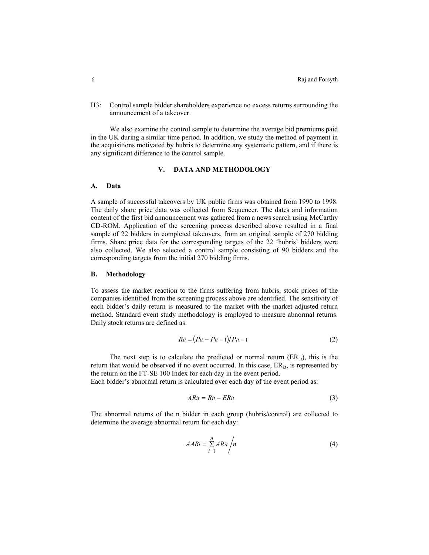H3: Control sample bidder shareholders experience no excess returns surrounding the announcement of a takeover.

We also examine the control sample to determine the average bid premiums paid in the UK during a similar time period. In addition, we study the method of payment in the acquisitions motivated by hubris to determine any systematic pattern, and if there is any significant difference to the control sample.

# **V. DATA AND METHODOLOGY**

# **A. Data**

A sample of successful takeovers by UK public firms was obtained from 1990 to 1998. The daily share price data was collected from Sequencer. The dates and information content of the first bid announcement was gathered from a news search using McCarthy CD-ROM. Application of the screening process described above resulted in a final sample of 22 bidders in completed takeovers, from an original sample of 270 bidding firms. Share price data for the corresponding targets of the 22 'hubris' bidders were also collected. We also selected a control sample consisting of 90 bidders and the corresponding targets from the initial 270 bidding firms.

## **B. Methodology**

To assess the market reaction to the firms suffering from hubris, stock prices of the companies identified from the screening process above are identified. The sensitivity of each bidder's daily return is measured to the market with the market adjusted return method. Standard event study methodology is employed to measure abnormal returns. Daily stock returns are defined as:

$$
Rit = (Pit - Pit - 1)/Pit - 1 \tag{2}
$$

The next step is to calculate the predicted or normal return  $(ER<sub>i,t</sub>)$ , this is the return that would be observed if no event occurred. In this case,  $ER_{i,t}$ , is represented by the return on the FT-SE 100 Index for each day in the event period.

Each bidder's abnormal return is calculated over each day of the event period as:

$$
ARit = Rit - ERit \tag{3}
$$

The abnormal returns of the n bidder in each group (hubris/control) are collected to determine the average abnormal return for each day:

$$
AAR_t = \sum_{i=1}^{n} ARit / n
$$
 (4)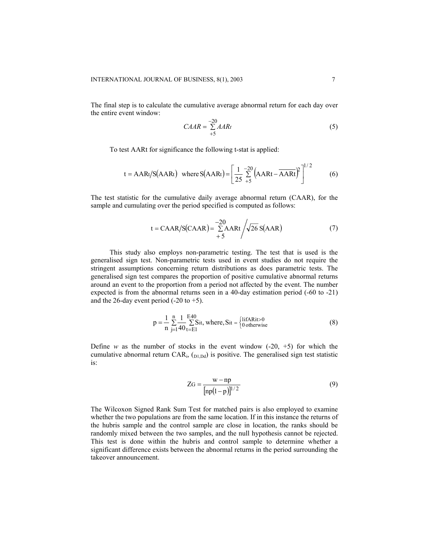The final step is to calculate the cumulative average abnormal return for each day over the entire event window:

$$
CAAR = \sum_{+5}^{-20} AARt
$$
 (5)

To test AARt for significance the following t-stat is applied:

$$
t = AARt/S(AARt) \text{ where } S(AARt) = \left[\frac{1}{25} \sum_{+5}^{-20} \left(AARt - \overline{AARt}\right)^2\right]^{1/2} \tag{6}
$$

The test statistic for the cumulative daily average abnormal return (CAAR), for the sample and cumulating over the period specified is computed as follows:

$$
t = \text{CAAR/S}(\text{CAAR}) = \frac{-20}{\sum_{i=1}^{n} \text{AARt}} \sqrt{26} \text{S(AAR}) \tag{7}
$$

This study also employs non-parametric testing. The test that is used is the generalised sign test. Non-parametric tests used in event studies do not require the stringent assumptions concerning return distributions as does parametric tests. The generalised sign test compares the proportion of positive cumulative abnormal returns around an event to the proportion from a period not affected by the event. The number expected is from the abnormal returns seen in a 40-day estimation period (-60 to -21) and the 26-day event period  $(-20 \text{ to } +5)$ .

$$
p = \frac{1}{n} \sum_{i=1}^{n} \frac{1}{40} \sum_{t=E1}^{E40} \text{Si}t, \text{ where, } \text{Si}t = \begin{cases} \text{liftARit} > 0\\ 0 \text{ otherwise} \end{cases}
$$
(8)

Define *w* as the number of stocks in the event window  $(-20, +5)$  for which the cumulative abnormal return  $CAR_{i}$ ,  $_{D1,Dd}$ ) is positive. The generalised sign test statistic is:

$$
ZG = \frac{w - np}{[np(1-p)]^{1/2}}
$$
 (9)

The Wilcoxon Signed Rank Sum Test for matched pairs is also employed to examine whether the two populations are from the same location. If in this instance the returns of the hubris sample and the control sample are close in location, the ranks should be randomly mixed between the two samples, and the null hypothesis cannot be rejected. This test is done within the hubris and control sample to determine whether a significant difference exists between the abnormal returns in the period surrounding the takeover announcement.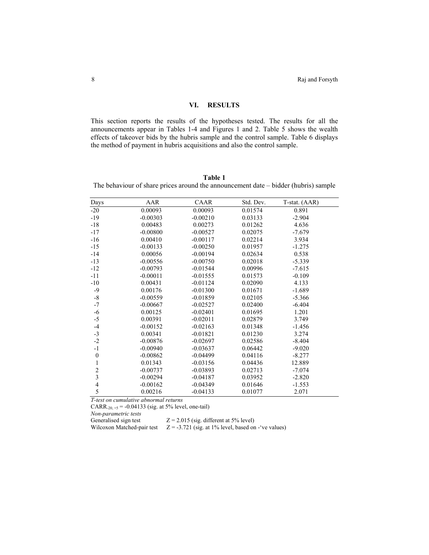# **VI. RESULTS**

This section reports the results of the hypotheses tested. The results for all the announcements appear in Tables 1-4 and Figures 1 and 2. Table 5 shows the wealth effects of takeover bids by the hubris sample and the control sample. Table 6 displays the method of payment in hubris acquisitions and also the control sample.

#### **Table 1**

The behaviour of share prices around the announcement date – bidder (hubris) sample

|                         | AAR        | CAAR       | Std. Dev. |               |
|-------------------------|------------|------------|-----------|---------------|
| Days                    |            |            |           | T-stat. (AAR) |
| $-20$                   | 0.00093    | 0.00093    | 0.01574   | 0.891         |
| $-19$                   | $-0.00303$ | $-0.00210$ | 0.03133   | $-2.904$      |
| $-18$                   | 0.00483    | 0.00273    | 0.01262   | 4.636         |
| $-17$                   | $-0.00800$ | $-0.00527$ | 0.02075   | $-7.679$      |
| $-16$                   | 0.00410    | $-0.00117$ | 0.02214   | 3.934         |
| $-15$                   | $-0.00133$ | $-0.00250$ | 0.01957   | $-1.275$      |
| $-14$                   | 0.00056    | $-0.00194$ | 0.02634   | 0.538         |
| $-13$                   | $-0.00556$ | $-0.00750$ | 0.02018   | $-5.339$      |
| $-12$                   | $-0.00793$ | $-0.01544$ | 0.00996   | $-7.615$      |
| $-11$                   | $-0.00011$ | $-0.01555$ | 0.01573   | $-0.109$      |
| $-10$                   | 0.00431    | $-0.01124$ | 0.02090   | 4.133         |
| $-9$                    | 0.00176    | $-0.01300$ | 0.01671   | $-1.689$      |
| $\mbox{-}8$             | $-0.00559$ | $-0.01859$ | 0.02105   | $-5.366$      |
| $-7$                    | $-0.00667$ | $-0.02527$ | 0.02400   | $-6.404$      |
| $-6$                    | 0.00125    | $-0.02401$ | 0.01695   | 1.201         |
| $-5$                    | 0.00391    | $-0.02011$ | 0.02879   | 3.749         |
| $-4$                    | $-0.00152$ | $-0.02163$ | 0.01348   | $-1.456$      |
| $-3$                    | 0.00341    | $-0.01821$ | 0.01230   | 3.274         |
| $-2$                    | $-0.00876$ | $-0.02697$ | 0.02586   | $-8.404$      |
| $-1$                    | $-0.00940$ | $-0.03637$ | 0.06442   | $-9.020$      |
| $\boldsymbol{0}$        | $-0.00862$ | $-0.04499$ | 0.04116   | $-8.277$      |
| $\,1$                   | 0.01343    | $-0.03156$ | 0.04436   | 12.889        |
|                         | $-0.00737$ | $-0.03893$ | 0.02713   | $-7.074$      |
| $\frac{2}{3}$           | $-0.00294$ | $-0.04187$ | 0.03952   | $-2.820$      |
| $\overline{\mathbf{4}}$ | $-0.00162$ | $-0.04349$ | 0.01646   | $-1.553$      |
| 5                       | 0.00216    | $-0.04133$ | 0.01077   | 2.071         |

*T-test on cumulative abnormal returns* 

CARR<sub>-20, +5</sub> = -0.04133 (sig. at 5% level, one-tail)

*Non-parametric tests* 

 $Z = 2.015$  (sig. different at 5% level)

Wilcoxon Matched-pair test  $Z = -3.721$  (sig. at 1% level, based on -'ve values)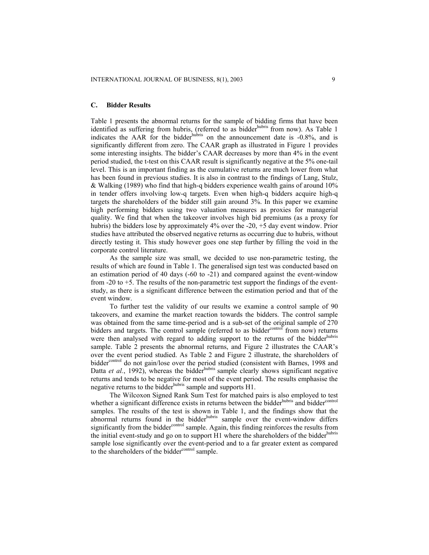## **C. Bidder Results**

Table 1 presents the abnormal returns for the sample of bidding firms that have been identified as suffering from hubris, (referred to as bidder<sup>hubris</sup> from now). As Table 1 indicates the AAR for the bidder  $h$ <sup>hubris</sup> on the announcement date is  $-0.8\%$ , and is significantly different from zero. The CAAR graph as illustrated in Figure 1 provides some interesting insights. The bidder's CAAR decreases by more than 4% in the event period studied, the t-test on this CAAR result is significantly negative at the 5% one-tail level. This is an important finding as the cumulative returns are much lower from what has been found in previous studies. It is also in contrast to the findings of Lang, Stulz, & Walking (1989) who find that high-q bidders experience wealth gains of around 10% in tender offers involving low-q targets. Even when high-q bidders acquire high-q targets the shareholders of the bidder still gain around 3%. In this paper we examine high performing bidders using two valuation measures as proxies for managerial quality. We find that when the takeover involves high bid premiums (as a proxy for hubris) the bidders lose by approximately 4% over the -20, +5 day event window. Prior studies have attributed the observed negative returns as occurring due to hubris, without directly testing it. This study however goes one step further by filling the void in the corporate control literature.

As the sample size was small, we decided to use non-parametric testing, the results of which are found in Table 1. The generalised sign test was conducted based on an estimation period of 40 days (-60 to -21) and compared against the event-window from -20 to +5. The results of the non-parametric test support the findings of the eventstudy, as there is a significant difference between the estimation period and that of the event window.

To further test the validity of our results we examine a control sample of 90 takeovers, and examine the market reaction towards the bidders. The control sample was obtained from the same time-period and is a sub-set of the original sample of 270 bidders and targets. The control sample (referred to as bidder<sup>control</sup> from now) returns were then analysed with regard to adding support to the returns of the bidder<sup>hubris</sup> sample. Table 2 presents the abnormal returns, and Figure 2 illustrates the CAAR's over the event period studied. As Table 2 and Figure 2 illustrate, the shareholders of bidder<sup>control</sup> do not gain/lose over the period studied (consistent with Barnes, 1998 and Datta *et al.*, 1992), whereas the bidder<sup>hubris</sup> sample clearly shows significant negative returns and tends to be negative for most of the event period. The results emphasise the negative returns to the bidder<sup>hubris</sup> sample and supports H1.

The Wilcoxon Signed Rank Sum Test for matched pairs is also employed to test whether a significant difference exists in returns between the bidder<sup>hubris</sup> and bidder<sup>control</sup> samples. The results of the test is shown in Table 1, and the findings show that the abnormal returns found in the bidder<sup>hubris</sup> sample over the event-window differs significantly from the bidder<sup>control</sup> sample. Again, this finding reinforces the results from the initial event-study and go on to support H1 where the shareholders of the bidder<sup>hubris</sup> sample lose significantly over the event-period and to a far greater extent as compared to the shareholders of the bidder<sup>control</sup> sample.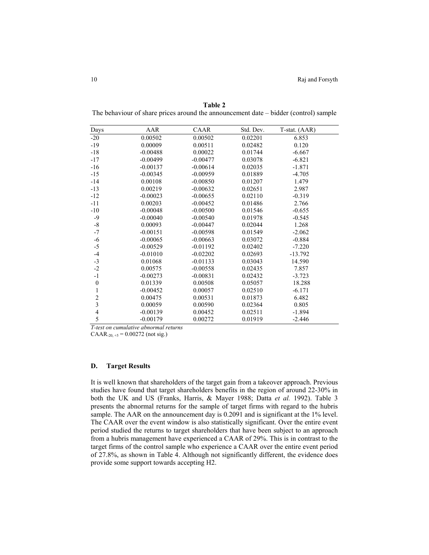| Days                    | AAR        | CAAR       | Std. Dev. | T-stat. (AAR) |  |
|-------------------------|------------|------------|-----------|---------------|--|
| $-20$                   | 0.00502    | 0.00502    | 0.02201   | 6.853         |  |
| $-19$                   | 0.00009    | 0.00511    | 0.02482   | 0.120         |  |
| $-18$                   | $-0.00488$ | 0.00022    | 0.01744   | $-6.667$      |  |
| $-17$                   | $-0.00499$ | $-0.00477$ | 0.03078   | $-6.821$      |  |
| $-16$                   | $-0.00137$ | $-0.00614$ | 0.02035   | $-1.871$      |  |
| $-15$                   | $-0.00345$ | $-0.00959$ | 0.01889   | $-4.705$      |  |
| $-14$                   | 0.00108    | $-0.00850$ | 0.01207   | 1.479         |  |
| $-13$                   | 0.00219    | $-0.00632$ | 0.02651   | 2.987         |  |
| $-12$                   | $-0.00023$ | $-0.00655$ | 0.02110   | $-0.319$      |  |
| $-11$                   | 0.00203    | $-0.00452$ | 0.01486   | 2.766         |  |
| $-10$                   | $-0.00048$ | $-0.00500$ | 0.01546   | $-0.655$      |  |
| $-9$                    | $-0.00040$ | $-0.00540$ | 0.01978   | $-0.545$      |  |
| $\mbox{-}8$             | 0.00093    | $-0.00447$ | 0.02044   | 1.268         |  |
| $-7$                    | $-0.00151$ | $-0.00598$ | 0.01549   | $-2.062$      |  |
| $-6$                    | $-0.00065$ | $-0.00663$ | 0.03072   | $-0.884$      |  |
| $-5$                    | $-0.00529$ | $-0.01192$ | 0.02402   | $-7.220$      |  |
| $-4$                    | $-0.01010$ | $-0.02202$ | 0.02693   | $-13.792$     |  |
| $-3$                    | 0.01068    | $-0.01133$ | 0.03043   | 14.590        |  |
| $-2$                    | 0.00575    | $-0.00558$ | 0.02435   | 7.857         |  |
| $-1$                    | $-0.00273$ | $-0.00831$ | 0.02432   | $-3.723$      |  |
| $\boldsymbol{0}$        | 0.01339    | 0.00508    | 0.05057   | 18.288        |  |
| $\mathbf{1}$            | $-0.00452$ | 0.00057    | 0.02510   | $-6.171$      |  |
| $\overline{c}$          | 0.00475    | 0.00531    | 0.01873   | 6.482         |  |
| $\overline{\mathbf{3}}$ | 0.00059    | 0.00590    | 0.02364   | 0.805         |  |
| $\overline{4}$          | $-0.00139$ | 0.00452    | 0.02511   | $-1.894$      |  |
| 5                       | $-0.00179$ | 0.00272    | 0.01919   | $-2.446$      |  |
|                         |            |            |           |               |  |

**Table 2**  The behaviour of share prices around the announcement date – bidder (control) sample

*T-test on cumulative abnormal returns* 

 $CAAR_{-20, +5} = 0.00272$  (not sig.)

#### **D. Target Results**

It is well known that shareholders of the target gain from a takeover approach. Previous studies have found that target shareholders benefits in the region of around 22-30% in both the UK and US (Franks, Harris, & Mayer 1988; Datta *et al.* 1992). Table 3 presents the abnormal returns for the sample of target firms with regard to the hubris sample. The AAR on the announcement day is 0.2091 and is significant at the 1% level. The CAAR over the event window is also statistically significant. Over the entire event period studied the returns to target shareholders that have been subject to an approach from a hubris management have experienced a CAAR of 29%. This is in contrast to the target firms of the control sample who experience a CAAR over the entire event period of 27.8%, as shown in Table 4. Although not significantly different, the evidence does provide some support towards accepting H2.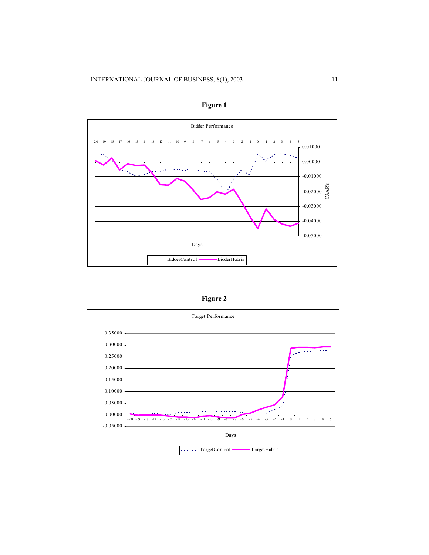

**Figure 1**

| ош |  |
|----|--|
|----|--|

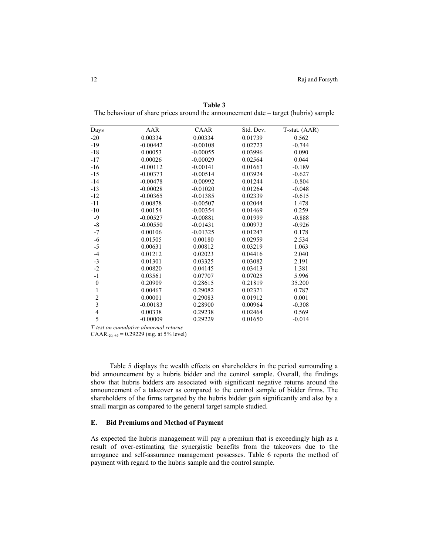| Days                    | AAR        | CAAR       | Std. Dev. | T-stat. (AAR) |  |
|-------------------------|------------|------------|-----------|---------------|--|
| $-20$                   | 0.00334    | 0.00334    | 0.01739   | 0.562         |  |
| $-19$                   | $-0.00442$ | $-0.00108$ | 0.02723   | $-0.744$      |  |
| $-18$                   | 0.00053    | $-0.00055$ | 0.03996   | 0.090         |  |
| $-17$                   | 0.00026    | $-0.00029$ | 0.02564   | 0.044         |  |
| $-16$                   | $-0.00112$ | $-0.00141$ | 0.01663   | $-0.189$      |  |
| $-15$                   | $-0.00373$ | $-0.00514$ | 0.03924   | $-0.627$      |  |
| $-14$                   | $-0.00478$ | $-0.00992$ | 0.01244   | $-0.804$      |  |
| $-13$                   | $-0.00028$ | $-0.01020$ | 0.01264   | $-0.048$      |  |
| $-12$                   | $-0.00365$ | $-0.01385$ | 0.02339   | $-0.615$      |  |
| $-11$                   | 0.00878    | $-0.00507$ | 0.02044   | 1.478         |  |
| $-10$                   | 0.00154    | $-0.00354$ | 0.01469   | 0.259         |  |
| $-9$                    | $-0.00527$ | $-0.00881$ | 0.01999   | $-0.888$      |  |
| $-8$                    | $-0.00550$ | $-0.01431$ | 0.00973   | $-0.926$      |  |
| $-7$                    | 0.00106    | $-0.01325$ | 0.01247   | 0.178         |  |
| $-6$                    | 0.01505    | 0.00180    | 0.02959   | 2.534         |  |
| $-5$                    | 0.00631    | 0.00812    | 0.03219   | 1.063         |  |
| $-4$                    | 0.01212    | 0.02023    | 0.04416   | 2.040         |  |
| $-3$                    | 0.01301    | 0.03325    | 0.03082   | 2.191         |  |
| $-2$                    | 0.00820    | 0.04145    | 0.03413   | 1.381         |  |
| $-1$                    | 0.03561    | 0.07707    | 0.07025   | 5.996         |  |
| $\boldsymbol{0}$        | 0.20909    | 0.28615    | 0.21819   | 35.200        |  |
| 1                       | 0.00467    | 0.29082    | 0.02321   | 0.787         |  |
| $\overline{c}$          | 0.00001    | 0.29083    | 0.01912   | 0.001         |  |
| $\overline{\mathbf{3}}$ | $-0.00183$ | 0.28900    | 0.00964   | $-0.308$      |  |
| $\overline{4}$          | 0.00338    | 0.29238    | 0.02464   | 0.569         |  |
| 5                       | $-0.00009$ | 0.29229    | 0.01650   | $-0.014$      |  |

**Table 3**  The behaviour of share prices around the announcement date – target (hubris) sample

*T-test on cumulative abnormal returns* 

CAAR-<sub>20, +5</sub> = 0.29229 (sig. at 5% level)

Table 5 displays the wealth effects on shareholders in the period surrounding a bid announcement by a hubris bidder and the control sample. Overall, the findings show that hubris bidders are associated with significant negative returns around the announcement of a takeover as compared to the control sample of bidder firms. The shareholders of the firms targeted by the hubris bidder gain significantly and also by a small margin as compared to the general target sample studied.

#### **E. Bid Premiums and Method of Payment**

As expected the hubris management will pay a premium that is exceedingly high as a result of over-estimating the synergistic benefits from the takeovers due to the arrogance and self-assurance management possesses. Table 6 reports the method of payment with regard to the hubris sample and the control sample.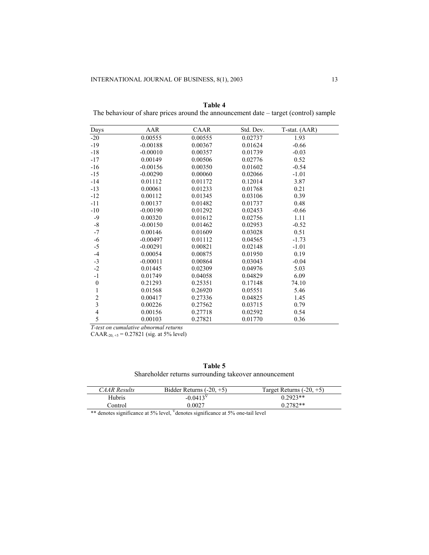| Days                    | AAR        | CAAR    | Std. Dev. | T-stat. (AAR) |  |
|-------------------------|------------|---------|-----------|---------------|--|
| $-20$                   | 0.00555    | 0.00555 | 0.02737   | 1.93          |  |
| $-19$                   | $-0.00188$ | 0.00367 | 0.01624   | $-0.66$       |  |
| $-18$                   | $-0.00010$ | 0.00357 | 0.01739   | $-0.03$       |  |
| $-17$                   | 0.00149    | 0.00506 | 0.02776   | 0.52          |  |
| $-16$                   | $-0.00156$ | 0.00350 | 0.01602   | $-0.54$       |  |
| $-15$                   | $-0.00290$ | 0.00060 | 0.02066   | $-1.01$       |  |
| $-14$                   | 0.01112    | 0.01172 | 0.12014   | 3.87          |  |
| $-13$                   | 0.00061    | 0.01233 | 0.01768   | 0.21          |  |
| $-12$                   | 0.00112    | 0.01345 | 0.03106   | 0.39          |  |
| $-11$                   | 0.00137    | 0.01482 | 0.01737   | 0.48          |  |
| $-10$                   | $-0.00190$ | 0.01292 | 0.02453   | $-0.66$       |  |
| $-9$                    | 0.00320    | 0.01612 | 0.02756   | 1.11          |  |
| $\mbox{-}8$             | $-0.00150$ | 0.01462 | 0.02953   | $-0.52$       |  |
| $-7$                    | 0.00146    | 0.01609 | 0.03028   | 0.51          |  |
| $-6$                    | $-0.00497$ | 0.01112 | 0.04565   | $-1.73$       |  |
| $-5$                    | $-0.00291$ | 0.00821 | 0.02148   | $-1.01$       |  |
| $-4$                    | 0.00054    | 0.00875 | 0.01950   | 0.19          |  |
| $-3$                    | $-0.00011$ | 0.00864 | 0.03043   | $-0.04$       |  |
| $-2$                    | 0.01445    | 0.02309 | 0.04976   | 5.03          |  |
| $-1$                    | 0.01749    | 0.04058 | 0.04829   | 6.09          |  |
| $\boldsymbol{0}$        | 0.21293    | 0.25351 | 0.17148   | 74.10         |  |
| $\mathbf{1}$            | 0.01568    | 0.26920 | 0.05551   | 5.46          |  |
| $\overline{c}$          | 0.00417    | 0.27336 | 0.04825   | 1.45          |  |
| $\overline{\mathbf{3}}$ | 0.00226    | 0.27562 | 0.03715   | 0.79          |  |
| $\overline{4}$          | 0.00156    | 0.27718 | 0.02592   | 0.54          |  |
| 5                       | 0.00103    | 0.27821 | 0.01770   | 0.36          |  |

**Table 4**  The behaviour of share prices around the announcement date – target (control) sample

*T-test on cumulative abnormal returns* 

CAAR<sub>-20, +5</sub> = 0.27821 (sig. at 5% level)

**Table 5** 

Shareholder returns surrounding takeover announcement

| <i>CAAR Results</i> | Bidder Returns $(-20, +5)$ | Target Returns $(-20, +5)$ |
|---------------------|----------------------------|----------------------------|
| Hubris              | $-0.0413^{\rm v}$          | $0.2923**$                 |
| Control             | 0.0027                     | $0.2782**$                 |

\*\* denotes significance at 5% level,  $\sqrt{V}$ denotes significance at 5% one-tail level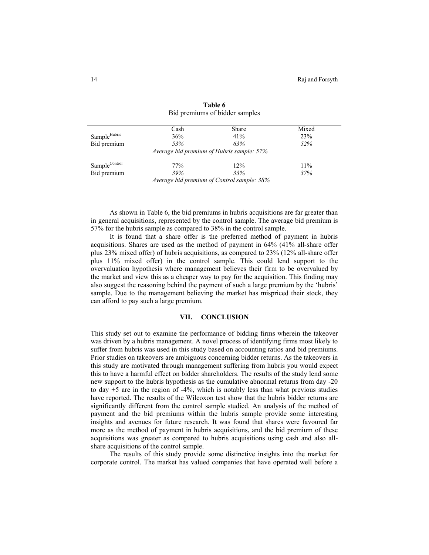|                                            | Cash | Share | Mixed |  |
|--------------------------------------------|------|-------|-------|--|
| Sample <sup>Hubris</sup>                   | 36%  | 41%   | 23%   |  |
| Bid premium                                | 53%  | 63%   | 52%   |  |
| Average bid premium of Hubris sample: 57%  |      |       |       |  |
| SampleControl                              | 77%  | 12%   | 11%   |  |
| Bid premium                                | 39%  | 33%   | 37%   |  |
| Average bid premium of Control sample: 38% |      |       |       |  |

**Table 6**  Bid premiums of bidder samples

As shown in Table 6, the bid premiums in hubris acquisitions are far greater than in general acquisitions, represented by the control sample. The average bid premium is 57% for the hubris sample as compared to 38% in the control sample.

It is found that a share offer is the preferred method of payment in hubris acquisitions. Shares are used as the method of payment in 64% (41% all-share offer plus 23% mixed offer) of hubris acquisitions, as compared to 23% (12% all-share offer plus 11% mixed offer) in the control sample. This could lend support to the overvaluation hypothesis where management believes their firm to be overvalued by the market and view this as a cheaper way to pay for the acquisition. This finding may also suggest the reasoning behind the payment of such a large premium by the 'hubris' sample. Due to the management believing the market has mispriced their stock, they can afford to pay such a large premium.

## **VII. CONCLUSION**

This study set out to examine the performance of bidding firms wherein the takeover was driven by a hubris management. A novel process of identifying firms most likely to suffer from hubris was used in this study based on accounting ratios and bid premiums. Prior studies on takeovers are ambiguous concerning bidder returns. As the takeovers in this study are motivated through management suffering from hubris you would expect this to have a harmful effect on bidder shareholders. The results of the study lend some new support to the hubris hypothesis as the cumulative abnormal returns from day -20 to day +5 are in the region of -4%, which is notably less than what previous studies have reported. The results of the Wilcoxon test show that the hubris bidder returns are significantly different from the control sample studied. An analysis of the method of payment and the bid premiums within the hubris sample provide some interesting insights and avenues for future research. It was found that shares were favoured far more as the method of payment in hubris acquisitions, and the bid premium of these acquisitions was greater as compared to hubris acquisitions using cash and also allshare acquisitions of the control sample.

The results of this study provide some distinctive insights into the market for corporate control. The market has valued companies that have operated well before a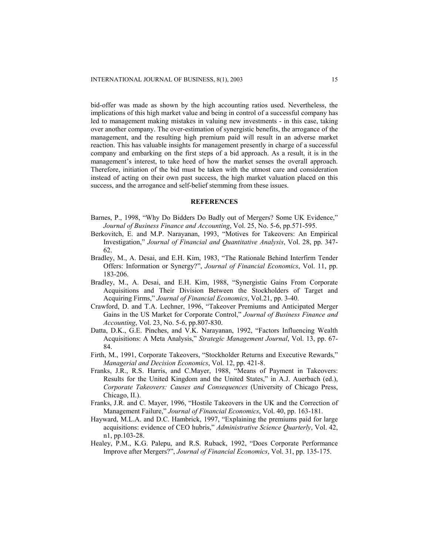bid-offer was made as shown by the high accounting ratios used. Nevertheless, the implications of this high market value and being in control of a successful company has led to management making mistakes in valuing new investments - in this case, taking over another company. The over-estimation of synergistic benefits, the arrogance of the management, and the resulting high premium paid will result in an adverse market reaction. This has valuable insights for management presently in charge of a successful company and embarking on the first steps of a bid approach. As a result, it is in the management's interest, to take heed of how the market senses the overall approach. Therefore, initiation of the bid must be taken with the utmost care and consideration instead of acting on their own past success, the high market valuation placed on this success, and the arrogance and self-belief stemming from these issues.

#### **REFERENCES**

- Barnes, P., 1998, "Why Do Bidders Do Badly out of Mergers? Some UK Evidence," *Journal of Business Finance and Accounting*, Vol. 25, No. 5-6, pp.571-595.
- Berkovitch, E. and M.P. Narayanan, 1993, "Motives for Takeovers: An Empirical Investigation," *Journal of Financial and Quantitative Analysis*, Vol. 28, pp. 347- 62.
- Bradley, M., A. Desai, and E.H. Kim, 1983, "The Rationale Behind Interfirm Tender Offers: Information or Synergy?", *Journal of Financial Economics*, Vol. 11, pp. 183-206.
- Bradley, M., A. Desai, and E.H. Kim, 1988, "Synergistic Gains From Corporate Acquisitions and Their Division Between the Stockholders of Target and Acquiring Firms," *Journal of Financial Economics*, Vol.21, pp. 3-40.
- Crawford, D. and T.A. Lechner, 1996, "Takeover Premiums and Anticipated Merger Gains in the US Market for Corporate Control," *Journal of Business Finance and Accounting*, Vol. 23, No. 5-6, pp.807-830.
- Datta, D.K., G.E. Pinches, and V.K. Narayanan, 1992, "Factors Influencing Wealth Acquisitions: A Meta Analysis," *Strategic Management Journal*, Vol. 13, pp. 67- 84.
- Firth, M., 1991, Corporate Takeovers, "Stockholder Returns and Executive Rewards," *Managerial and Decision Economics*, Vol. 12, pp. 421-8.
- Franks, J.R., R.S. Harris, and C.Mayer, 1988, "Means of Payment in Takeovers: Results for the United Kingdom and the United States," in A.J. Auerbach (ed.), *Corporate Takeovers: Causes and Consequences* (University of Chicago Press, Chicago, II.).
- Franks, J.R. and C. Mayer, 1996, "Hostile Takeovers in the UK and the Correction of Management Failure," *Journal of Financial Economics*, Vol. 40, pp. 163-181.
- Hayward, M.L.A. and D.C. Hambrick, 1997, "Explaining the premiums paid for large acquisitions: evidence of CEO hubris," *Administrative Science Quarterly*, Vol. 42, n1, pp.103-28.
- Healey, P.M., K.G. Palepu, and R.S. Ruback, 1992, "Does Corporate Performance Improve after Mergers?", *Journal of Financial Economics*, Vol. 31, pp. 135-175.